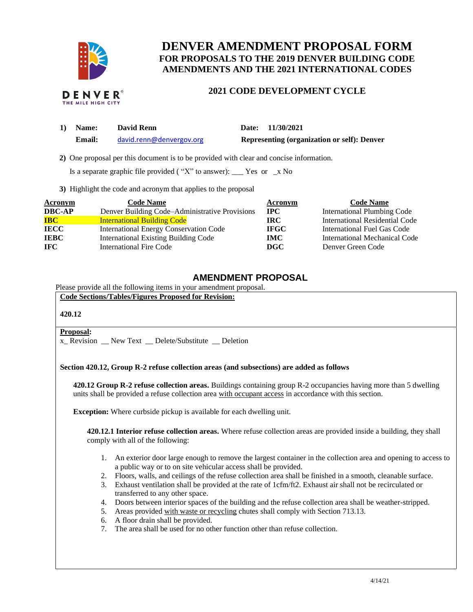

## **DENVER AMENDMENT PROPOSAL FORM FOR PROPOSALS TO THE 2019 DENVER BUILDING CODE AMENDMENTS AND THE 2021 INTERNATIONAL CODES**

# **2021 CODE DEVELOPMENT CYCLE**

| 1) | <b>Name:</b> | <b>David Renn</b>        | Date: 11/30/2021                                   |
|----|--------------|--------------------------|----------------------------------------------------|
|    | Email:       | david.renn@denvergov.org | <b>Representing (organization or self): Denver</b> |

 **2)** One proposal per this document is to be provided with clear and concise information.

Is a separate graphic file provided ("X" to answer): \_\_\_ Yes or \_x No

**3)** Highlight the code and acronym that applies to the proposal

| <b>Acronym</b> | <b>Code Name</b>                               | Acronym     | <b>Code Name</b>                      |
|----------------|------------------------------------------------|-------------|---------------------------------------|
| <b>DBC-AP</b>  | Denver Building Code-Administrative Provisions | <b>IPC</b>  | <b>International Plumbing Code</b>    |
| <b>IBC</b>     | <b>International Building Code</b>             | <b>IRC</b>  | <b>International Residential Code</b> |
| <b>IECC</b>    | <b>International Energy Conservation Code</b>  | <b>IFGC</b> | International Fuel Gas Code           |
| <b>IEBC</b>    | <b>International Existing Building Code</b>    | IMC.        | International Mechanical Code         |
| IFC.           | International Fire Code                        | DGC         | Denver Green Code                     |

### **AMENDMENT PROPOSAL**

Please provide all the following items in your amendment proposal.

**Code Sections/Tables/Figures Proposed for Revision:**

#### **420.12**

#### **Proposal:**

x Revision New Text Delete/Substitute Deletion

#### **Section 420.12, Group R-2 refuse collection areas (and subsections) are added as follows**

**420.12 Group R-2 refuse collection areas.** Buildings containing group R-2 occupancies having more than 5 dwelling units shall be provided a refuse collection area with occupant access in accordance with this section.

**Exception:** Where curbside pickup is available for each dwelling unit.

**420.12.1 Interior refuse collection areas.** Where refuse collection areas are provided inside a building, they shall comply with all of the following:

- 1. An exterior door large enough to remove the largest container in the collection area and opening to access to a public way or to on site vehicular access shall be provided.
- 2. Floors, walls, and ceilings of the refuse collection area shall be finished in a smooth, cleanable surface.
- 3. Exhaust ventilation shall be provided at the rate of 1cfm/ft2. Exhaust air shall not be recirculated or transferred to any other space.
- 4. Doors between interior spaces of the building and the refuse collection area shall be weather-stripped.
- 5. Areas provided with waste or recycling chutes shall comply with Section 713.13.
- 6. A floor drain shall be provided.
- 7. The area shall be used for no other function other than refuse collection.